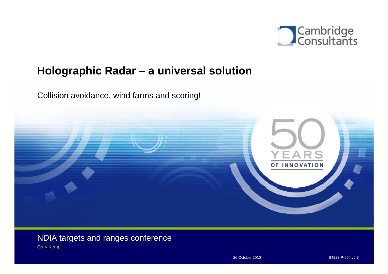

# **Holographic Radar – a universal solution**

Collision avoidance, wind farms and scoring!



NDIA targets and ranges conference Gary Kemp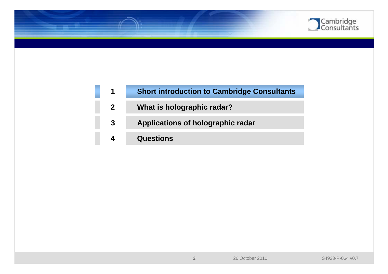

| $\blacktriangleleft$ | <b>Short introduction to Cambridge Consultants</b> |
|----------------------|----------------------------------------------------|
| 2 <sup>1</sup>       | What is holographic radar?                         |
| 3                    | Applications of holographic radar                  |
|                      | <b>Questions</b>                                   |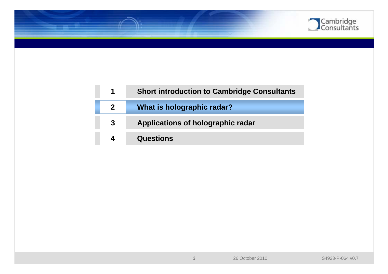

| 1            | <b>Short introduction to Cambridge Consultants</b> |
|--------------|----------------------------------------------------|
| $\mathbf{2}$ | What is holographic radar?                         |
| 3            | Applications of holographic radar                  |
|              | <b>Questions</b>                                   |

**3**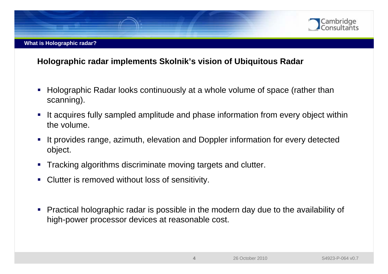

#### **What is Holographic radar?**

### **Holographic radar implements Skolnik's vision of Ubiquitous Radar**

- Г Holographic Radar looks continuously at a whole volume of space (rather than scanning).
- $\mathcal{L}_{\mathcal{A}}$  It acquires fully sampled amplitude and phase information from every object within the volume.
- It provides range, azimuth, elevation and Doppler information for every detected object.
- $\blacksquare$ Tracking algorithms discriminate moving targets and clutter.
- $\blacksquare$ Clutter is removed without loss of sensitivity.
- $\blacksquare$  Practical holographic radar is possible in the modern day due to the availability of high-power processor devices at reasonable cost.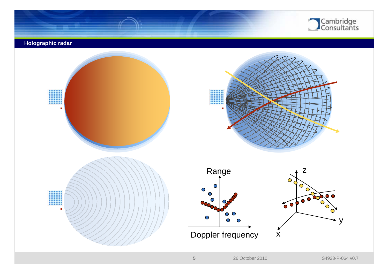

#### **Holographic radar**

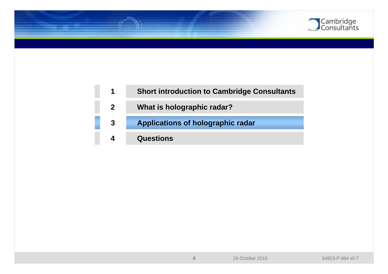

| $\blacktriangleleft$ | <b>Short introduction to Cambridge Consultants</b> |
|----------------------|----------------------------------------------------|
| $\mathbf{2}$         | What is holographic radar?                         |
| 3                    | <b>Applications of holographic radar</b>           |
|                      | <b>Questions</b>                                   |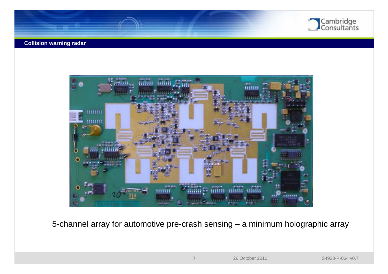

#### **Collision warning radar**



5-channel array for automotive pre-crash sensing – a minimum holographic array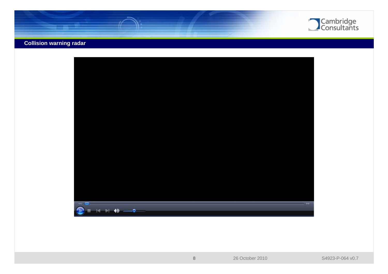

### **Collision warning radar**

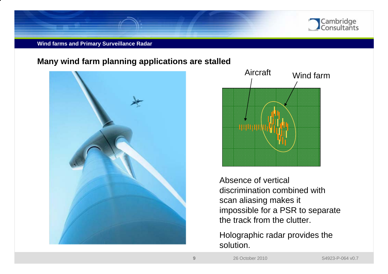

#### **Wind farms and Primary Surveillance Radar**

### **Many wind farm planning applications are stalled**





Absence of vertical discrimination combined with scan aliasing makes it impossible for a PSR to separate the track from the clutter.

Holographic radar provides the solution.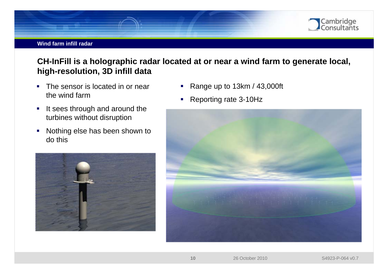

#### **Wind farm infill radar**

## **CH-InFill is a holographic radar located at or near a wind farm to generate local, high-resolution, 3D infill data**

- T The sensor is located in or near the wind farm
- $\overline{\phantom{a}}$  It sees through and around the turbines without disruption
- $\blacksquare$  Nothing else has been shown to do this



- $\blacksquare$ Range up to 13km / 43,000ft
- $\mathcal{L}_{\mathcal{A}}$ Reporting rate 3-10Hz

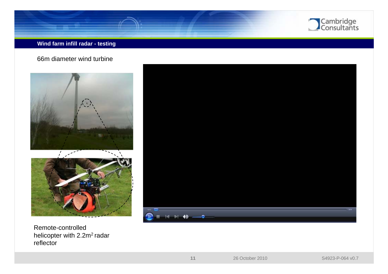

#### **Wind farm infill radar - testing**

66m diameter wind turbine



Remote-controlled helicopter with 2.2m<sup>2</sup> radar reflector

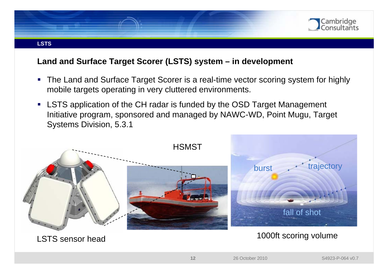

### **Land and Surface Target Scorer (LSTS) system – in development**

- Г The Land and Surface Target Scorer is a real-time vector scoring system for highly mobile targets operating in very cluttered environments.
- LSTS application of the CH radar is funded by the OSD Target Management Initiative program, sponsored and managed by NAWC-WD, Point Mugu, Target Systems Division, 5.3.1



LSTS sensor head

1000ft scoring volume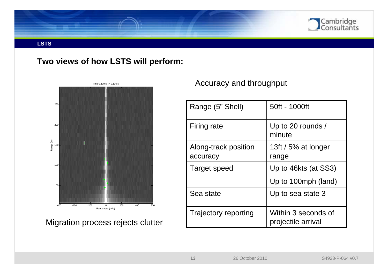

#### **LSTS**

### **Two views of how LSTS will perform:**



Migration process rejects clutter

### Accuracy and throughput

| Range (5" Shell)                 | 50ft - 1000ft                             |
|----------------------------------|-------------------------------------------|
| Firing rate                      | Up to 20 rounds /<br>minute               |
| Along-track position<br>accuracy | 13ft / 5% at longer<br>range              |
| Target speed                     | Up to 46kts (at SS3)                      |
|                                  | Up to 100mph (land)                       |
| Sea state                        | Up to sea state 3                         |
| <b>Trajectory reporting</b>      | Within 3 seconds of<br>projectile arrival |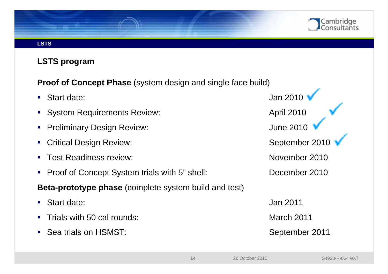

#### **LSTS**

### **LSTS program**

**Proof of Concept Phase** (system design and single face build)

- Start date: Jan 2010
- System Requirements Review: △ △ April 2010
- $\mathcal{L}_{\mathcal{A}}$ Preliminary Design Review: Notify the Matter of the United States of the United States of the 2010
- $\mathcal{L}_{\mathcal{A}}$ **Critical Design Review:** September 2010
- $\mathcal{L}_{\mathcal{A}}$ Test Readiness review: November 2010
- Г Proof of Concept System trials with 5" shell: December 2010
- **Beta-prototype phase** (complete system build and test)
- $\mathcal{L}_{\mathcal{A}}$
- $\mathcal{L}_{\mathcal{A}}$ Trials with 50 cal rounds: March 2011
- Г Sea trials on HSMST: September 2011

Start date: Jan 2011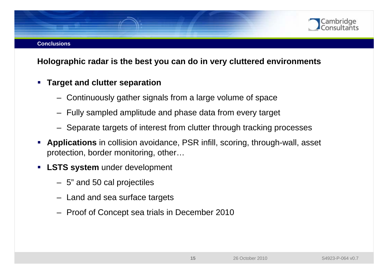### **Holographic radar is the best you can do in very cluttered environments**

#### $\mathcal{L}_{\mathcal{A}}$ **Target and clutter separation**

- Continuously gather signals from a large volume of space
- Fully sampled amplitude and phase data from every target
- Separate targets of interest from clutter through tracking processes
- Г **Applications** in collision avoidance, PSR infill, scoring, through-wall, asset protection, border monitoring, other…
- $\mathcal{L}_{\mathcal{A}}$  **LSTS system** under development
	- 5" and 50 cal projectiles
	- Land and sea surface targets
	- Proof of Concept sea trials in December 2010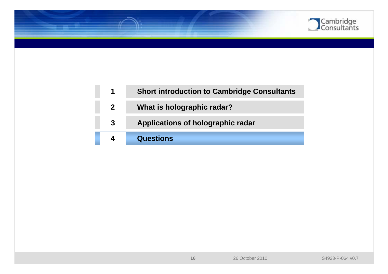

|                | <b>Short introduction to Cambridge Consultants</b> |
|----------------|----------------------------------------------------|
| 2 <sup>1</sup> | What is holographic radar?                         |
| $\mathbf{3}$   | Applications of holographic radar                  |
|                | <b>Questions</b>                                   |